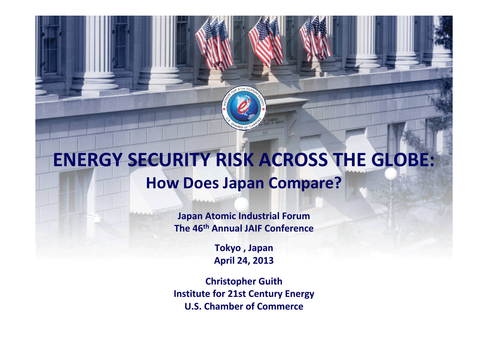### **ENERGY SECURITY RISK ACROSS THE GLOBE: How Does Japan Compare?**

**Japan Atomic Industrial Forum The 46th Annual JAIF Conference**

> **Tokyo , Japan April 24, 2013**

**Christopher Guith Institute for 21st Century Energy U.S. Chamber of Commerce**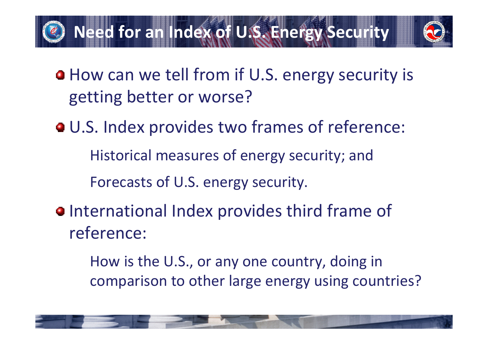# **Need for an Index of U.S. Energy Security**



- How can we tell from if U.S. energy security is getting better or worse?
- U.S. Index provides two frames of reference:
	- Historical measures of energy security; and
	- Forecasts of U.S. energy security.
- International Index provides third frame of reference:
	- How is the U.S., or any one country, doing in comparison to other large energy using countries?

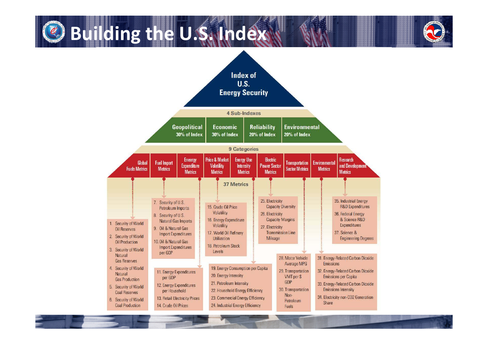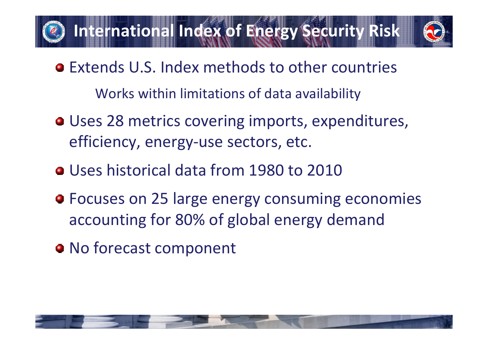



- Extends U.S. Index methods to other countries Works within limitations of data availability
- Uses 28 metrics covering imports, expenditures, efficiency, energy‐use sectors, etc.
- Uses historical data from 1980 to 2010
- Focuses on 25 large energy consuming economies accounting for 80% of global energy demand
- No forecast component

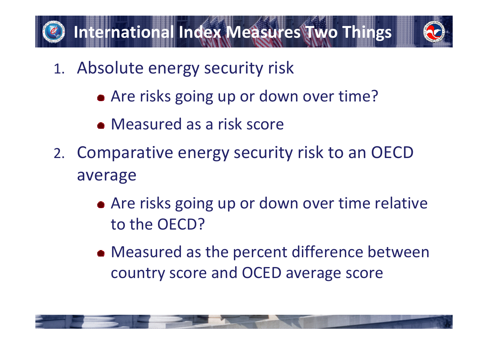

- 1. Absolute energy security risk
	- Are risks going up or down over time?
	- Measured as <sup>a</sup> risk score
- 2. Comparative energy security risk to an OECD average
	- Are risks going up or down over time relative to the OECD?
	- Measured as the percent difference between country score and OCED average score

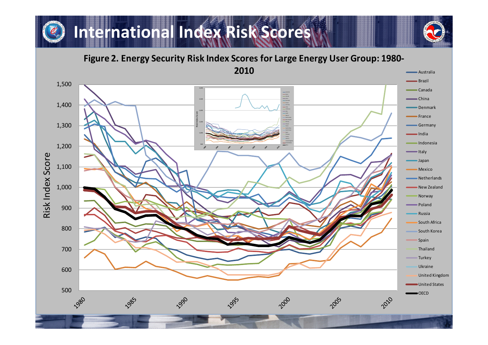# **International Index Risk Scores**

**Figure 2. Energy Security Risk Index Scores for Large Energy User Group: 1980‐**

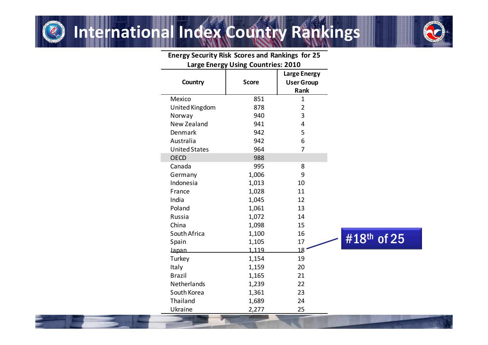

#### **International Index Country Rankings**



| <b>Energy Security Risk Scores and Rankings for 25</b> |              |                                                  |                         |
|--------------------------------------------------------|--------------|--------------------------------------------------|-------------------------|
| <b>Large Energy Using Countries: 2010</b>              |              |                                                  |                         |
| Country                                                | <b>Score</b> | <b>Large Energy</b><br><b>User Group</b><br>Rank |                         |
| Mexico                                                 | 851          | 1                                                |                         |
| United Kingdom                                         | 878          | $\overline{2}$                                   |                         |
| Norway                                                 | 940          | 3                                                |                         |
| New Zealand                                            | 941          | 4                                                |                         |
| Denmark                                                | 942          | 5                                                |                         |
| Australia                                              | 942          | 6                                                |                         |
| <b>United States</b>                                   | 964          | 7                                                |                         |
| <b>OECD</b>                                            | 988          |                                                  |                         |
| Canada                                                 | 995          | 8                                                |                         |
| Germany                                                | 1,006        | 9                                                |                         |
| Indonesia                                              | 1,013        | 10                                               |                         |
| France                                                 | 1,028        | 11                                               |                         |
| India                                                  | 1,045        | 12                                               |                         |
| Poland                                                 | 1,061        | 13                                               |                         |
| Russia                                                 | 1,072        | 14                                               |                         |
| China                                                  | 1,098        | 15                                               |                         |
| South Africa                                           | 1,100        | 16                                               | #18 <sup>th</sup> of 25 |
| Spain                                                  | 1,105        | 17                                               |                         |
| <b>Japan</b>                                           | 1,119        | 18                                               |                         |
| Turkey                                                 | 1,154        | 19                                               |                         |
| Italy                                                  | 1,159        | 20                                               |                         |
| <b>Brazil</b>                                          | 1,165        | 21                                               |                         |
| Netherlands                                            | 1,239        | 22                                               |                         |
| South Korea                                            | 1,361        | 23                                               |                         |
| Thailand                                               | 1,689        | 24                                               |                         |
| Ukraine                                                | 2,277        | 25                                               |                         |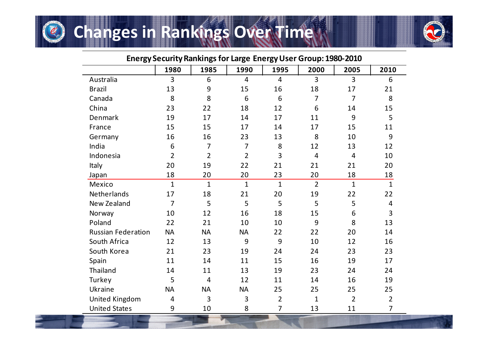



#### **Energy SecurityRankingsfor Large EnergyUser Group:1980‐2010 1980 1985 1990 1995 2000 2005 2010**2010 Australia 3 6 4 4 3 3 6Brazil 13 9 15 16 18 17 21Canada 8 8 6 6 7 7 8China 23 22 18 12 6 14 1515 Denmark 19 17 14 17 11 9 5 France 15 15 17 14 17 15 11Germany 16 16 23 13 8 10 9 India 6 7 7 8 12 13 1212 Indonesia 2 2 2 3 4 4 10 Italy 20 19 22 21 21 21 20 Japan 18 20 20 23 20 18 18 Mexico 1 1 1 1 2 1 1  $\mathbf{1}$ Netherlands 17 18 21 20 19 22 22 New Zealand 7 5 5 5 5 5 4 Norway 10 12 16 18 15 6 3 Poland 22 21 10 10 9 8 13Russian Federation NA NA NA 22 22 20 14 South Africa Africa 12 13 9 9 10 12 16 South Korea Korea 21 23 19 24 24 23 23 Spain 11 14 11 15 16 19 17 Thailand 14 11 13 19 23 24 24Turkey 5 4 12 11 14 16 19 Ukraine NA NA NA 25 25 25 25United Kingdom 4 3 3 2 1 2 2 **United States** States 9 10 8 7 13 11 7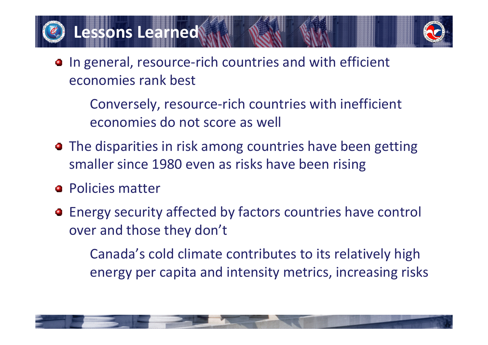# **Lessons Learned**



- In general, resource‐rich countries and with efficient economies rank best
	- Conversely, resource‐rich countries with inefficient economies do not score as well
- The disparities in risk among countries have been getting smaller since 1980 even as risks have been rising
- Policies matter
- Energy security affected by factors countries have control over and those they don't

Canada's cold climate contributes to its relatively high energy per capita and intensity metrics, increasing risks

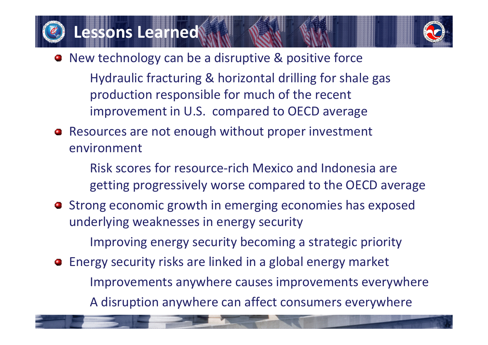# **Lessons Learned**



- New technology can be <sup>a</sup> disruptive & positive force
	- Hydraulic fracturing & horizontal drilling for shale gas production responsible for much of the recent improvement in U.S. compared to OECD average
- Resources are not enough without proper investment environment
	- Risk scores for resource‐rich Mexico and Indonesia are getting progressively worse compared to the OECD average
- **•** Strong economic growth in emerging economies has exposed underlying weaknesses in energy security
	- Improving energy security becoming <sup>a</sup> strategic priority
- Energy security risks are linked in <sup>a</sup> global energy market Improvements anywhere causes improvements everywhere A disruption anywhere can affect consumers everywhere

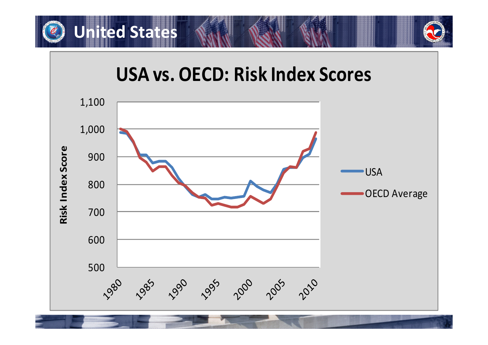

### **USA vs. OECD: Risk Index Scores**

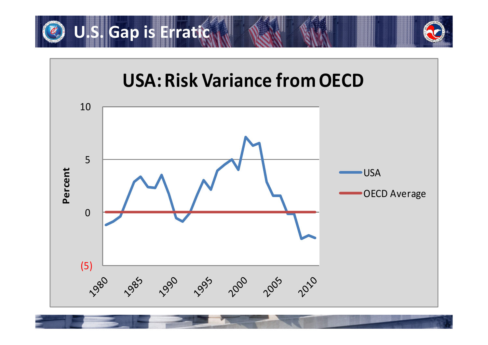



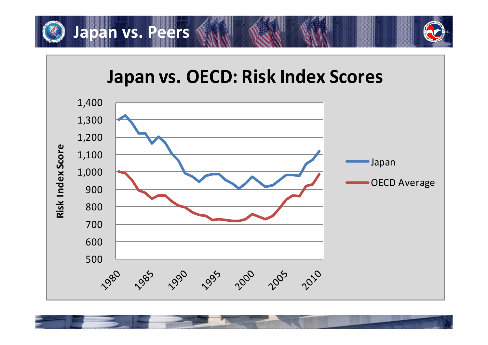





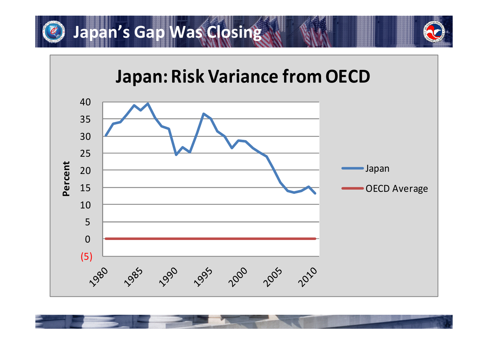

#### **Japan:Risk Variance from OECD**



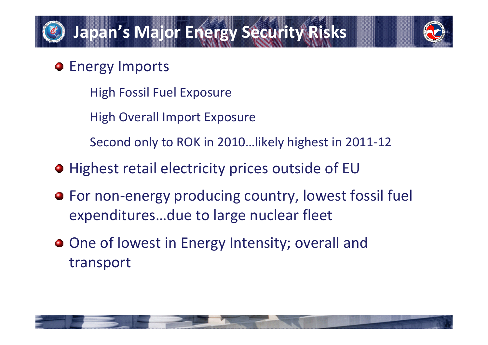# **Japan's Major Energy Security Risks**



- **•** Energy Imports
	- High Fossil Fuel Exposure
	- High Overall Import Exposure
	- Second only to ROK in 2010…likely highest in 2011‐12
- **•** Highest retail electricity prices outside of EU
- For non‐energy producing country, lowest fossil fuel expenditures…due to large nuclear fleet
- One of lowest in Energy Intensity; overall and transport

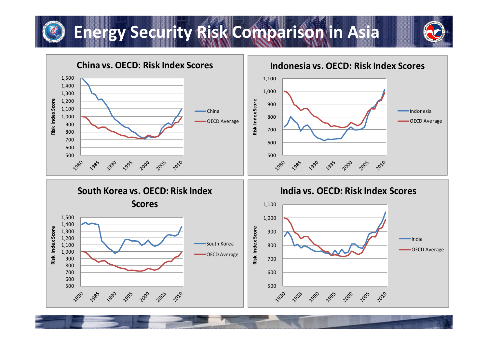